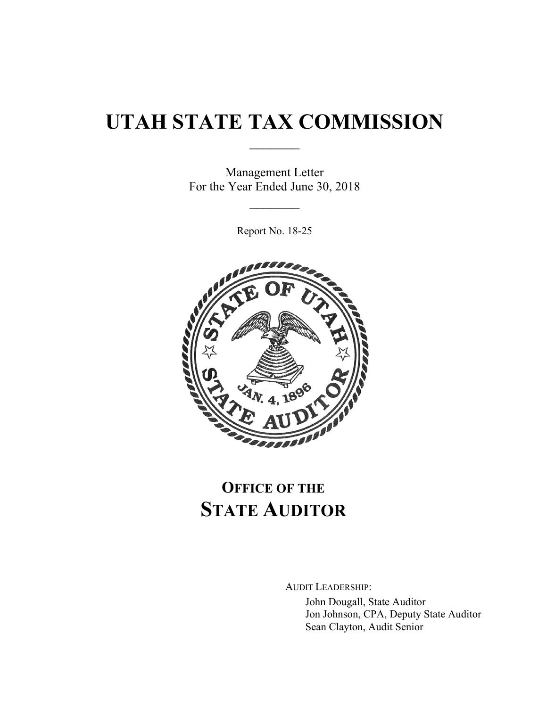# **UTAH STATE TAX COMMISSION**

 $\frac{1}{2}$ 

Management Letter For the Year Ended June 30, 2018

 $\frac{1}{2}$ 

Report No. 18-25



## **OFFICE OF THE STATE AUDITOR**

AUDIT LEADERSHIP: John Dougall, State Auditor Jon Johnson, CPA, Deputy State Auditor Sean Clayton, Audit Senior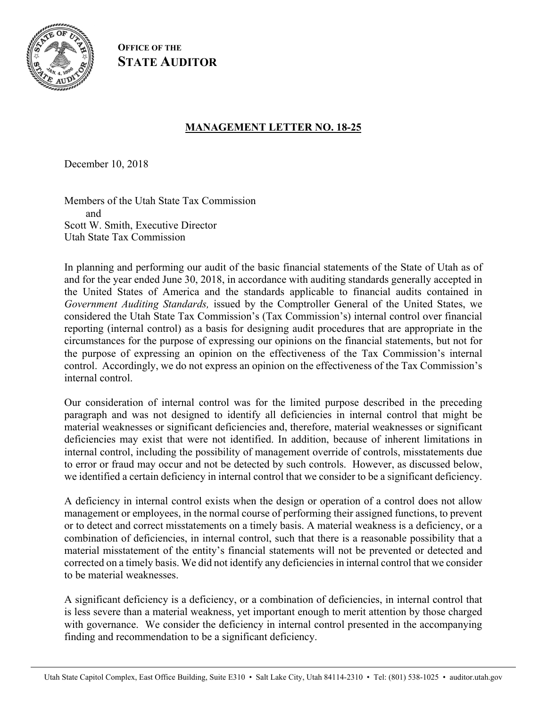

**OFFICE OF THE STATE AUDITOR**

#### **MANAGEMENT LETTER NO. 18-25**

December 10, 2018

Members of the Utah State Tax Commission and Scott W. Smith, Executive Director Utah State Tax Commission

In planning and performing our audit of the basic financial statements of the State of Utah as of and for the year ended June 30, 2018, in accordance with auditing standards generally accepted in the United States of America and the standards applicable to financial audits contained in *Government Auditing Standards,* issued by the Comptroller General of the United States, we considered the Utah State Tax Commission's (Tax Commission's) internal control over financial reporting (internal control) as a basis for designing audit procedures that are appropriate in the circumstances for the purpose of expressing our opinions on the financial statements, but not for the purpose of expressing an opinion on the effectiveness of the Tax Commission's internal control. Accordingly, we do not express an opinion on the effectiveness of the Tax Commission's internal control.

Our consideration of internal control was for the limited purpose described in the preceding paragraph and was not designed to identify all deficiencies in internal control that might be material weaknesses or significant deficiencies and, therefore, material weaknesses or significant deficiencies may exist that were not identified. In addition, because of inherent limitations in internal control, including the possibility of management override of controls, misstatements due to error or fraud may occur and not be detected by such controls. However, as discussed below, we identified a certain deficiency in internal control that we consider to be a significant deficiency.

A deficiency in internal control exists when the design or operation of a control does not allow management or employees, in the normal course of performing their assigned functions, to prevent or to detect and correct misstatements on a timely basis. A material weakness is a deficiency, or a combination of deficiencies, in internal control, such that there is a reasonable possibility that a material misstatement of the entity's financial statements will not be prevented or detected and corrected on a timely basis. We did not identify any deficiencies in internal control that we consider to be material weaknesses.

A significant deficiency is a deficiency, or a combination of deficiencies, in internal control that is less severe than a material weakness, yet important enough to merit attention by those charged with governance. We consider the deficiency in internal control presented in the accompanying finding and recommendation to be a significant deficiency.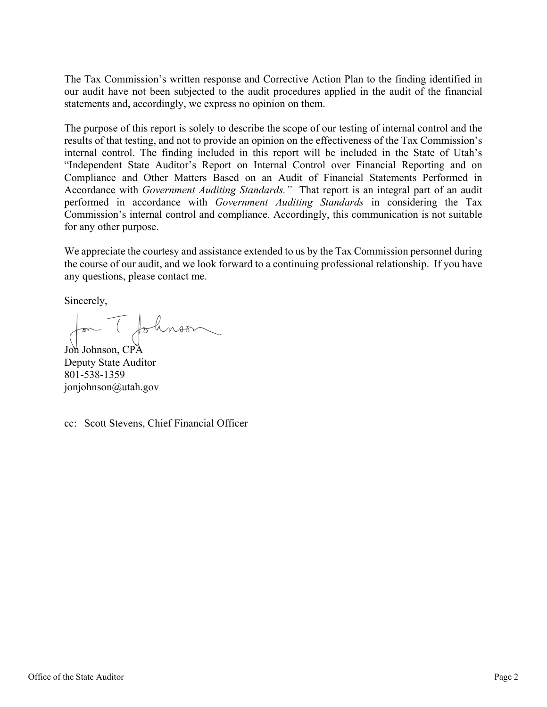The Tax Commission's written response and Corrective Action Plan to the finding identified in our audit have not been subjected to the audit procedures applied in the audit of the financial statements and, accordingly, we express no opinion on them.

The purpose of this report is solely to describe the scope of our testing of internal control and the results of that testing, and not to provide an opinion on the effectiveness of the Tax Commission's internal control. The finding included in this report will be included in the State of Utah's "Independent State Auditor's Report on Internal Control over Financial Reporting and on Compliance and Other Matters Based on an Audit of Financial Statements Performed in Accordance with *Government Auditing Standards."* That report is an integral part of an audit performed in accordance with *Government Auditing Standards* in considering the Tax Commission's internal control and compliance. Accordingly, this communication is not suitable for any other purpose.

We appreciate the courtesy and assistance extended to us by the Tax Commission personnel during the course of our audit, and we look forward to a continuing professional relationship. If you have any questions, please contact me.

Sincerely,

Jon Johnson

Deputy State Auditor 801-538-1359 jonjohnson@utah.gov

cc: Scott Stevens, Chief Financial Officer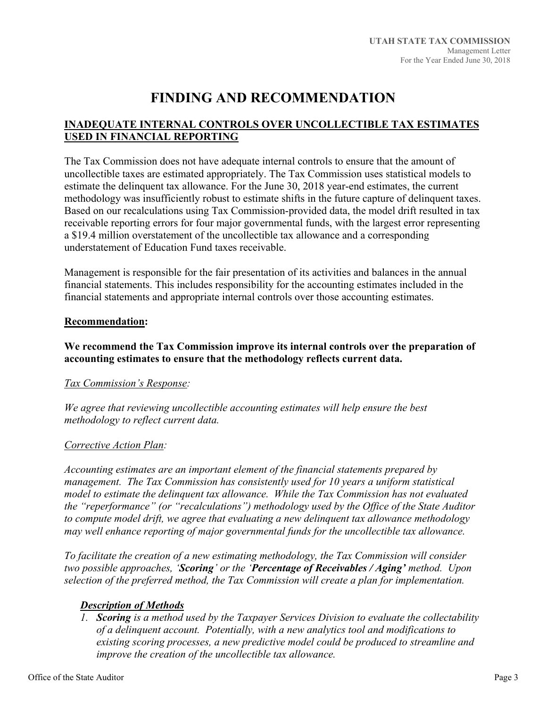### **FINDING AND RECOMMENDATION**

#### **INADEQUATE INTERNAL CONTROLS OVER UNCOLLECTIBLE TAX ESTIMATES USED IN FINANCIAL REPORTING**

The Tax Commission does not have adequate internal controls to ensure that the amount of uncollectible taxes are estimated appropriately. The Tax Commission uses statistical models to estimate the delinquent tax allowance. For the June 30, 2018 year-end estimates, the current methodology was insufficiently robust to estimate shifts in the future capture of delinquent taxes. Based on our recalculations using Tax Commission-provided data, the model drift resulted in tax receivable reporting errors for four major governmental funds, with the largest error representing a \$19.4 million overstatement of the uncollectible tax allowance and a corresponding understatement of Education Fund taxes receivable.

Management is responsible for the fair presentation of its activities and balances in the annual financial statements. This includes responsibility for the accounting estimates included in the financial statements and appropriate internal controls over those accounting estimates.

#### **Recommendation:**

#### **We recommend the Tax Commission improve its internal controls over the preparation of accounting estimates to ensure that the methodology reflects current data.**

#### *Tax Commission's Response:*

*We agree that reviewing uncollectible accounting estimates will help ensure the best methodology to reflect current data.* 

#### *Corrective Action Plan:*

*Accounting estimates are an important element of the financial statements prepared by management. The Tax Commission has consistently used for 10 years a uniform statistical model to estimate the delinquent tax allowance. While the Tax Commission has not evaluated the "reperformance" (or "recalculations") methodology used by the Office of the State Auditor to compute model drift, we agree that evaluating a new delinquent tax allowance methodology may well enhance reporting of major governmental funds for the uncollectible tax allowance.* 

*To facilitate the creation of a new estimating methodology, the Tax Commission will consider two possible approaches, 'Scoring' or the 'Percentage of Receivables / Aging' method. Upon selection of the preferred method, the Tax Commission will create a plan for implementation.* 

#### *Description of Methods*

*1. Scoring is a method used by the Taxpayer Services Division to evaluate the collectability of a delinquent account. Potentially, with a new analytics tool and modifications to existing scoring processes, a new predictive model could be produced to streamline and improve the creation of the uncollectible tax allowance.*